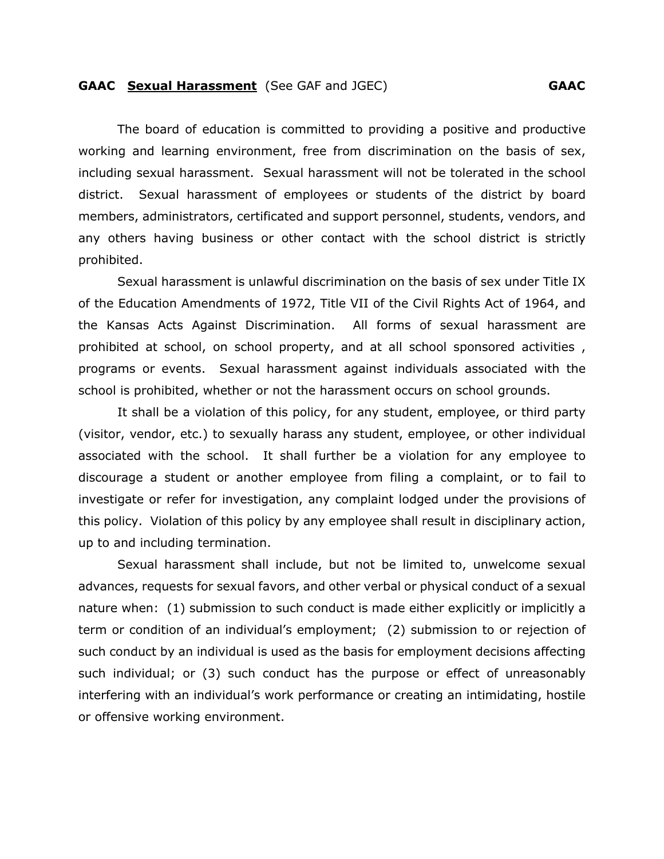## **GAAC Sexual Harassment** (See GAF and JGEC) **GAAC**

 The board of education is committed to providing a positive and productive working and learning environment, free from discrimination on the basis of sex, including sexual harassment. Sexual harassment will not be tolerated in the school district. Sexual harassment of employees or students of the district by board members, administrators, certificated and support personnel, students, vendors, and any others having business or other contact with the school district is strictly prohibited.

Sexual harassment is unlawful discrimination on the basis of sex under Title IX of the Education Amendments of 1972, Title VII of the Civil Rights Act of 1964, and the Kansas Acts Against Discrimination. All forms of sexual harassment are prohibited at school, on school property, and at all school sponsored activities , programs or events. Sexual harassment against individuals associated with the school is prohibited, whether or not the harassment occurs on school grounds.

It shall be a violation of this policy, for any student, employee, or third party (visitor, vendor, etc.) to sexually harass any student, employee, or other individual associated with the school. It shall further be a violation for any employee to discourage a student or another employee from filing a complaint, or to fail to investigate or refer for investigation, any complaint lodged under the provisions of this policy. Violation of this policy by any employee shall result in disciplinary action, up to and including termination.

Sexual harassment shall include, but not be limited to, unwelcome sexual advances, requests for sexual favors, and other verbal or physical conduct of a sexual nature when: (1) submission to such conduct is made either explicitly or implicitly a term or condition of an individual's employment; (2) submission to or rejection of such conduct by an individual is used as the basis for employment decisions affecting such individual; or (3) such conduct has the purpose or effect of unreasonably interfering with an individual's work performance or creating an intimidating, hostile or offensive working environment.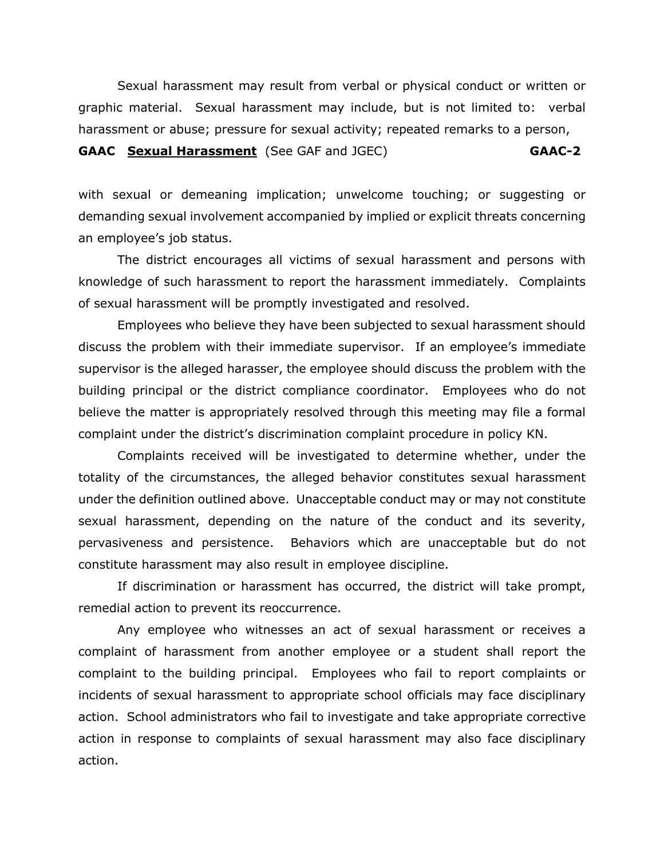Sexual harassment may result from verbal or physical conduct or written or graphic material. Sexual harassment may include, but is not limited to: verbal harassment or abuse; pressure for sexual activity; repeated remarks to a person,

## **GAAC Sexual Harassment** (See GAF and JGEC) **GAAC-2**

with sexual or demeaning implication; unwelcome touching; or suggesting or demanding sexual involvement accompanied by implied or explicit threats concerning an employee's job status.

The district encourages all victims of sexual harassment and persons with knowledge of such harassment to report the harassment immediately. Complaints of sexual harassment will be promptly investigated and resolved.

Employees who believe they have been subjected to sexual harassment should discuss the problem with their immediate supervisor. If an employee's immediate supervisor is the alleged harasser, the employee should discuss the problem with the building principal or the district compliance coordinator. Employees who do not believe the matter is appropriately resolved through this meeting may file a formal complaint under the district's discrimination complaint procedure in policy KN.

Complaints received will be investigated to determine whether, under the totality of the circumstances, the alleged behavior constitutes sexual harassment under the definition outlined above. Unacceptable conduct may or may not constitute sexual harassment, depending on the nature of the conduct and its severity, pervasiveness and persistence. Behaviors which are unacceptable but do not constitute harassment may also result in employee discipline.

If discrimination or harassment has occurred, the district will take prompt, remedial action to prevent its reoccurrence.

Any employee who witnesses an act of sexual harassment or receives a complaint of harassment from another employee or a student shall report the complaint to the building principal. Employees who fail to report complaints or incidents of sexual harassment to appropriate school officials may face disciplinary action. School administrators who fail to investigate and take appropriate corrective action in response to complaints of sexual harassment may also face disciplinary action.